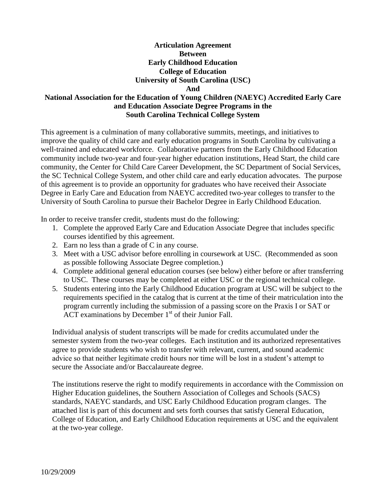## **Articulation Agreement Between Early Childhood Education College of Education University of South Carolina (USC) And**

# **National Association for the Education of Young Children (NAEYC) Accredited Early Care and Education Associate Degree Programs in the South Carolina Technical College System**

This agreement is a culmination of many collaborative summits, meetings, and initiatives to improve the quality of child care and early education programs in South Carolina by cultivating a well-trained and educated workforce. Collaborative partners from the Early Childhood Education community include two-year and four-year higher education institutions, Head Start, the child care community, the Center for Child Care Career Development, the SC Department of Social Services, the SC Technical College System, and other child care and early education advocates. The purpose of this agreement is to provide an opportunity for graduates who have received their Associate Degree in Early Care and Education from NAEYC accredited two-year colleges to transfer to the University of South Carolina to pursue their Bachelor Degree in Early Childhood Education.

In order to receive transfer credit, students must do the following:

- 1. Complete the approved Early Care and Education Associate Degree that includes specific courses identified by this agreement.
- 2. Earn no less than a grade of C in any course.
- 3. Meet with a USC advisor before enrolling in coursework at USC. (Recommended as soon as possible following Associate Degree completion.)
- 4. Complete additional general education courses (see below) either before or after transferring to USC. These courses may be completed at either USC or the regional technical college.
- 5. Students entering into the Early Childhood Education program at USC will be subject to the requirements specified in the catalog that is current at the time of their matriculation into the program currently including the submission of a passing score on the Praxis I or SAT or ACT examinations by December  $1<sup>st</sup>$  of their Junior Fall.

Individual analysis of student transcripts will be made for credits accumulated under the semester system from the two-year colleges. Each institution and its authorized representatives agree to provide students who wish to transfer with relevant, current, and sound academic advice so that neither legitimate credit hours nor time will be lost in a student's attempt to secure the Associate and/or Baccalaureate degree.

The institutions reserve the right to modify requirements in accordance with the Commission on Higher Education guidelines, the Southern Association of Colleges and Schools (SACS) standards, NAEYC standards, and USC Early Childhood Education program clanges. The attached list is part of this document and sets forth courses that satisfy General Education, College of Education, and Early Childhood Education requirements at USC and the equivalent at the two-year college.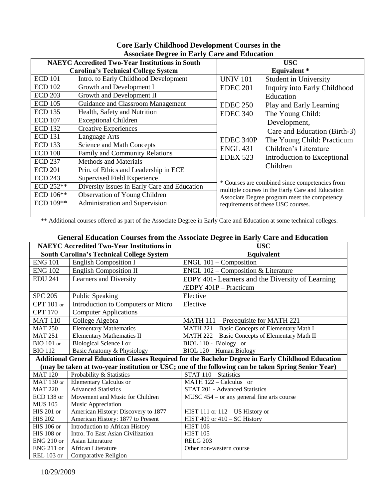|                                            | <i><b>Trooclate Degree in Larry Care and Ludeation</b></i><br><b>NAEYC Accredited Two-Year Institutions in South</b> |                 | <b>USC</b>                                       |
|--------------------------------------------|----------------------------------------------------------------------------------------------------------------------|-----------------|--------------------------------------------------|
| <b>Carolina's Technical College System</b> |                                                                                                                      |                 | <b>Equivalent</b> *                              |
| <b>ECD 101</b>                             | Intro. to Early Childhood Development                                                                                | <b>UNIV 101</b> | <b>Student in University</b>                     |
| <b>ECD 102</b>                             | Growth and Development I                                                                                             | <b>EDEC 201</b> | Inquiry into Early Childhood                     |
| <b>ECD 203</b>                             | Growth and Development II                                                                                            |                 | Education                                        |
| <b>ECD 105</b>                             | Guidance and Classroom Management                                                                                    | <b>EDEC 250</b> | Play and Early Learning                          |
| <b>ECD 135</b>                             | Health, Safety and Nutrition                                                                                         | <b>EDEC 340</b> | The Young Child:                                 |
| <b>ECD 107</b>                             | <b>Exceptional Children</b>                                                                                          |                 | Development,                                     |
| <b>ECD 132</b>                             | <b>Creative Experiences</b>                                                                                          |                 | Care and Education (Birth-3)                     |
| <b>ECD 131</b>                             | Language Arts                                                                                                        | EDEC 340P       | The Young Child: Practicum                       |
| <b>ECD 133</b>                             | Science and Math Concepts                                                                                            | <b>ENGL 431</b> | Children's Literature                            |
| <b>ECD 108</b>                             | Family and Community Relations                                                                                       | <b>EDEX 523</b> | Introduction to Exceptional                      |
| <b>ECD 237</b>                             | <b>Methods and Materials</b>                                                                                         |                 | Children                                         |
| <b>ECD 201</b>                             | Prin. of Ethics and Leadership in ECE                                                                                |                 |                                                  |
| <b>ECD 243</b>                             | Supervised Field Experience                                                                                          |                 | * Courses are combined since competencies from   |
| ECD 252**                                  | Diversity Issues in Early Care and Education                                                                         |                 | multiple courses in the Early Care and Education |
| ECD 106**                                  | <b>Observation of Young Children</b>                                                                                 |                 | Associate Degree program meet the competency     |
| ECD 109**                                  | Administration and Supervision                                                                                       |                 | requirements of these USC courses.               |
|                                            |                                                                                                                      |                 |                                                  |

# **Core Early Childhood Development Courses in the Associate Degree in Early Care and Education**

\*\* Additional courses offered as part of the Associate Degree in Early Care and Education at some technical colleges.

# **General Education Courses from the Associate Degree in Early Care and Education**

| <b>NAEYC Accredited Two-Year Institutions in</b> |                                     | <b>USC</b>                                                                                          |
|--------------------------------------------------|-------------------------------------|-----------------------------------------------------------------------------------------------------|
| <b>South Carolina's Technical College System</b> |                                     | Equivalent                                                                                          |
| <b>ENG 101</b>                                   | <b>English Composition I</b>        | ENGL 101 - Composition                                                                              |
| <b>ENG 102</b>                                   | <b>English Composition II</b>       | ENGL 102 - Composition & Literature                                                                 |
| <b>EDU 241</b>                                   | Learners and Diversity              | EDPY 401- Learners and the Diversity of Learning                                                    |
|                                                  |                                     | /EDPY 401P - Practicum                                                                              |
| <b>SPC 205</b>                                   | <b>Public Speaking</b>              | Elective                                                                                            |
| CPT $101$ or                                     | Introduction to Computers or Micro  | Elective                                                                                            |
| <b>CPT 170</b>                                   | <b>Computer Applications</b>        |                                                                                                     |
| <b>MAT 110</b>                                   | College Algebra                     | MATH 111 – Prerequisite for MATH 221                                                                |
| <b>MAT 250</b>                                   | <b>Elementary Mathematics</b>       | MATH 221 - Basic Concepts of Elementary Math I                                                      |
| <b>MAT 251</b>                                   | <b>Elementary Mathematics II</b>    | MATH 222 - Basic Concepts of Elementary Math II                                                     |
| $BIO$ 101 or                                     | Biological Science I or             | BIOL 110 - Biology or                                                                               |
| <b>BIO 112</b>                                   | Basic Anatomy & Physiology          | BIOL 120 - Human Biology                                                                            |
|                                                  |                                     | Additional General Education Classes Required for the Bachelor Degree in Early Childhood Education  |
|                                                  |                                     | (may be taken at two-year institution or USC; one of the following can be taken Spring Senior Year) |
| <b>MAT 120</b>                                   | Probability & Statistics            | STAT 110 - Statistics                                                                               |
| MAT $130$ or                                     | <b>Elementary Calculus or</b>       | MATH $122 -$ Calculus or                                                                            |
| <b>MAT 220</b>                                   | <b>Advanced Statistics</b>          | <b>STAT 201 - Advanced Statistics</b>                                                               |
| $ECD$ 138 or                                     | Movement and Music for Children     | $MUSC$ 454 – or any general fine arts course                                                        |
| <b>MUS 105</b>                                   | Music Appreciation                  |                                                                                                     |
| $HIS 201$ or                                     | American History: Discovery to 1877 | HIST 111 or $112 - US$ History or                                                                   |
| <b>HIS 202</b>                                   | American History: 1877 to Present   | HIST 409 or $410 - SC$ History                                                                      |
| HIS 106 or                                       | Introduction to African History     | <b>HIST 106</b>                                                                                     |
| $HIS$ 108 or                                     | Intro. To East Asian Civilization   | <b>HIST 105</b>                                                                                     |
| ENG <sub>210</sub> or                            | Asian Literature                    | <b>RELG 203</b>                                                                                     |
| $ENG 211$ or                                     | African Literature                  | Other non-western course                                                                            |
| <b>REL 103 or</b>                                | Comparative Religion                |                                                                                                     |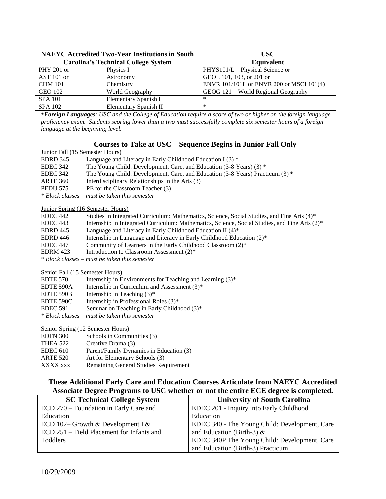| <b>NAEYC</b> Accredited Two-Year Institutions in South |                                            | USC-                                     |
|--------------------------------------------------------|--------------------------------------------|------------------------------------------|
|                                                        | <b>Carolina's Technical College System</b> | <b>Equivalent</b>                        |
| PHY 201 or                                             | Physics I                                  | PHYS101/L - Physical Science or          |
| AST 101 or                                             | Astronomy                                  | GEOL 101, 103, or 201 or                 |
| <b>CHM 101</b>                                         | Chemistry                                  | ENVR 101/101L or ENVR 200 or MSCI 101(4) |
| <b>GEO 102</b>                                         | World Geography                            | GEOG 121 – World Regional Geography      |
| <b>SPA 101</b>                                         | Elementary Spanish I                       | ∗                                        |
| <b>SPA 102</b>                                         | Elementary Spanish II                      | $\ast$                                   |

*\*Foreign Languages: USC and the College of Education require a score of two or higher on the foreign language proficiency exam. Students scoring lower than a two must successfully complete six semester hours of a foreign language at the beginning level.*

#### **Courses to Take at USC – Sequence Begins in Junior Fall Only**

#### Junior Fall (15 Semester Hours)

| <b>EDRD</b> 345 | Language and Literacy in Early Childhood Education I $(3)$ * |
|-----------------|--------------------------------------------------------------|
|-----------------|--------------------------------------------------------------|

EDEC 342 The Young Child: Development, Care, and Education (3-8 Years) (3) \*

EDEC 342 The Young Child: Development, Care, and Education (3-8 Years) Practicum (3) \*

- ARTE 360 Interdisciplinary Relationships in the Arts (3)
- PEDU 575 PE for the Classroom Teacher (3)
- *\* Block classes – must be taken this semester*

#### Junior Spring (16 Semester Hours)

| EDEC 442                                      | Studies in Integrated Curriculum: Mathematics, Science, Social Studies, and Fine Arts (4)*    |  |
|-----------------------------------------------|-----------------------------------------------------------------------------------------------|--|
| EDEC 443                                      | Internship in Integrated Curriculum: Mathematics, Science, Social Studies, and Fine Arts (2)* |  |
| EDRD 445                                      | Language and Literacy in Early Childhood Education II (4)*                                    |  |
| EDRD 446                                      | Internship in Language and Literacy in Early Childhood Education (2)*                         |  |
| EDEC 447                                      | Community of Learners in the Early Childhood Classroom (2)*                                   |  |
| EDRM 423                                      | Introduction to Classroom Assessment (2)*                                                     |  |
| * Block classes – must be taken this semester |                                                                                               |  |

Senior Fall (15 Semester Hours)

- EDTE 570 Internship in Environments for Teaching and Learning  $(3)^*$
- EDTE 590A Internship in Curriculum and Assessment  $(3)^*$
- EDTE 590B Internship in Teaching  $(3)^*$
- EDTE 590C Internship in Professional Roles  $(3)^*$
- EDEC 591 Seminar on Teaching in Early Childhood (3)\*
- *\* Block classes – must be taken this semester*

#### Senior Spring (12 Semester Hours)

| <b>EDFN 300</b> | Schools in Communities (3)              |
|-----------------|-----------------------------------------|
| <b>THEA 522</b> | Creative Drama (3)                      |
| EDEC 610        | Parent/Family Dynamics in Education (3) |
| <b>ARTE 520</b> | Art for Elementary Schools (3)          |
| XXXX xxx        | Remaining General Studies Requirement   |

## **These Additional Early Care and Education Courses Articulate from NAEYC Accredited Associate Degree Programs to USC whether or not the entire ECE degree is completed.**

| <b>SC Technical College System</b>        | <b>University of South Carolina</b>           |
|-------------------------------------------|-----------------------------------------------|
| ECD 270 – Foundation in Early Care and    | EDEC 201 - Inquiry into Early Childhood       |
| Education                                 | Education                                     |
| ECD 102– Growth & Development I &         | EDEC 340 - The Young Child: Development, Care |
| ECD 251 – Field Placement for Infants and | and Education (Birth-3) $\&$                  |
| Toddlers                                  | EDEC 340P The Young Child: Development, Care  |
|                                           | and Education (Birth-3) Practicum             |